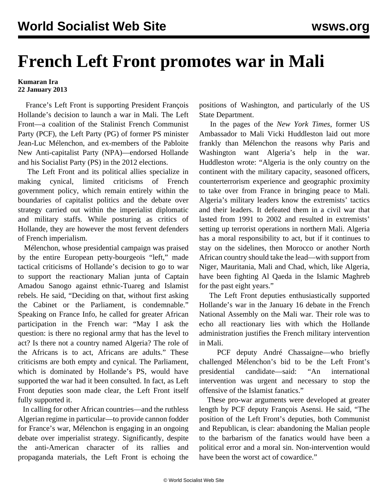## **French Left Front promotes war in Mali**

## **Kumaran Ira 22 January 2013**

 France's Left Front is supporting President François Hollande's decision to launch a war in Mali. The Left Front—a coalition of the Stalinist French Communist Party (PCF), the Left Party (PG) of former PS minister Jean-Luc Mélenchon, and ex-members of the Pabloite New Anti-capitalist Party (NPA)—endorsed Hollande and his Socialist Party (PS) in the 2012 elections.

 The Left Front and its political allies specialize in making cynical, limited criticisms of French government policy, which remain entirely within the boundaries of capitalist politics and the debate over strategy carried out within the imperialist diplomatic and military staffs. While posturing as critics of Hollande, they are however the most fervent defenders of French imperialism.

 Mélenchon, whose presidential campaign was praised by the entire European petty-bourgeois "left," made tactical criticisms of Hollande's decision to go to war to support the reactionary Malian junta of Captain Amadou Sanogo against ethnic-Tuareg and Islamist rebels. He said, "Deciding on that, without first asking the Cabinet or the Parliament, is condemnable." Speaking on France Info, he called for greater African participation in the French war: "May I ask the question: is there no regional army that has the level to act? Is there not a country named Algeria? The role of the Africans is to act, Africans are adults." These criticisms are both empty and cynical. The Parliament, which is dominated by Hollande's PS, would have supported the war had it been consulted. In fact, as Left Front deputies soon made clear, the Left Front itself fully supported it.

 In calling for other African countries—and the ruthless Algerian regime in particular—to provide cannon fodder for France's war, Mélenchon is engaging in an ongoing debate over imperialist strategy. Significantly, despite the anti-American character of its rallies and propaganda materials, the Left Front is echoing the positions of Washington, and particularly of the US State Department.

 In the pages of the *New York Times*, former US Ambassador to Mali Vicki Huddleston laid out more frankly than Mélenchon the reasons why Paris and Washington want Algeria's help in the war. Huddleston wrote: "Algeria is the only country on the continent with the military capacity, seasoned officers, counterterrorism experience and geographic proximity to take over from France in bringing peace to Mali. Algeria's military leaders know the extremists' tactics and their leaders. It defeated them in a civil war that lasted from 1991 to 2002 and resulted in extremists' setting up terrorist operations in northern Mali. Algeria has a moral responsibility to act, but if it continues to stay on the sidelines, then Morocco or another North African country should take the lead—with support from Niger, Mauritania, Mali and Chad, which, like Algeria, have been fighting Al Qaeda in the Islamic Maghreb for the past eight years."

 The Left Front deputies enthusiastically supported Hollande's war in the January 16 debate in the French National Assembly on the Mali war. Their role was to echo all reactionary lies with which the Hollande administration justifies the French military intervention in Mali.

 PCF deputy André Chassaigne—who briefly challenged Mélenchon's bid to be the Left Front's presidential candidate—said: "An international intervention was urgent and necessary to stop the offensive of the Islamist fanatics."

 These pro-war arguments were developed at greater length by PCF deputy François Asensi. He said, "The position of the Left Front's deputies, both Communist and Republican, is clear: abandoning the Malian people to the barbarism of the fanatics would have been a political error and a moral sin. Non-intervention would have been the worst act of cowardice."